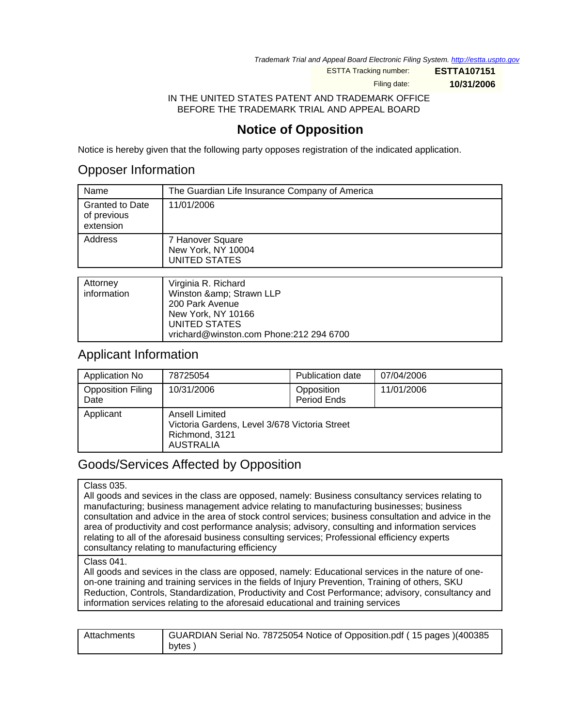Trademark Trial and Appeal Board Electronic Filing System. <http://estta.uspto.gov>

ESTTA Tracking number: **ESTTA107151**

Filing date: **10/31/2006**

IN THE UNITED STATES PATENT AND TRADEMARK OFFICE BEFORE THE TRADEMARK TRIAL AND APPEAL BOARD

## **Notice of Opposition**

Notice is hereby given that the following party opposes registration of the indicated application.

## Opposer Information

| The Guardian Life Insurance Company of America          |
|---------------------------------------------------------|
| 11/01/2006                                              |
| 7 Hanover Square<br>New York, NY 10004<br>UNITED STATES |
|                                                         |
|                                                         |

| Attorney    | Virginia R. Richard                     |
|-------------|-----------------------------------------|
| information | Winston & Strawn LLP                    |
|             | 200 Park Avenue                         |
|             | New York, NY 10166                      |
|             | UNITED STATES                           |
|             | vrichard@winston.com Phone:212 294 6700 |

## Applicant Information

| Application No                   | 78725054                                                                                                     | <b>Publication date</b>   | 07/04/2006 |
|----------------------------------|--------------------------------------------------------------------------------------------------------------|---------------------------|------------|
| <b>Opposition Filing</b><br>Date | 10/31/2006                                                                                                   | Opposition<br>Period Ends | 11/01/2006 |
| Applicant                        | <b>Ansell Limited</b><br>Victoria Gardens, Level 3/678 Victoria Street<br>Richmond, 3121<br><b>AUSTRALIA</b> |                           |            |

## Goods/Services Affected by Opposition

#### Class 035.

All goods and sevices in the class are opposed, namely: Business consultancy services relating to manufacturing; business management advice relating to manufacturing businesses; business consultation and advice in the area of stock control services; business consultation and advice in the area of productivity and cost performance analysis; advisory, consulting and information services relating to all of the aforesaid business consulting services; Professional efficiency experts consultancy relating to manufacturing efficiency

#### Class 041.

All goods and sevices in the class are opposed, namely: Educational services in the nature of oneon-one training and training services in the fields of Injury Prevention, Training of others, SKU Reduction, Controls, Standardization, Productivity and Cost Performance; advisory, consultancy and information services relating to the aforesaid educational and training services

| Attachments | GUARDIAN Serial No. 78725054 Notice of Opposition.pdf (15 pages )(400385 |
|-------------|--------------------------------------------------------------------------|
|             | bytes)                                                                   |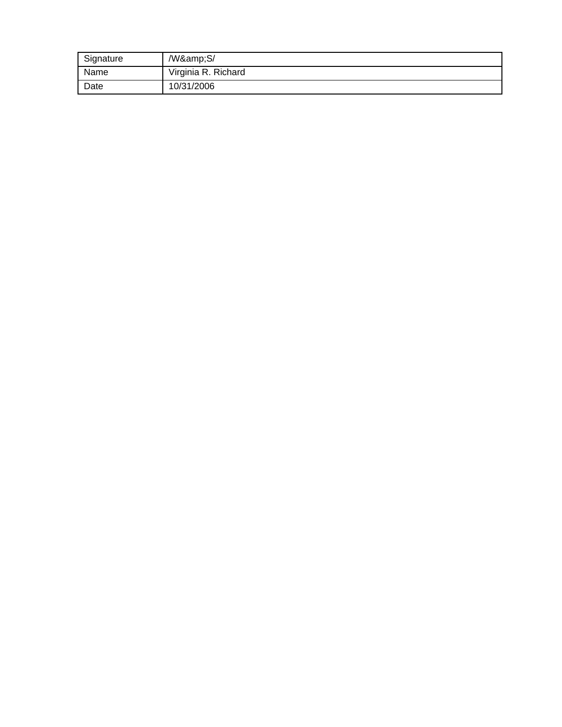| Signature | /W&S/               |
|-----------|---------------------|
| Name      | Virginia R. Richard |
| Date      | 10/31/2006          |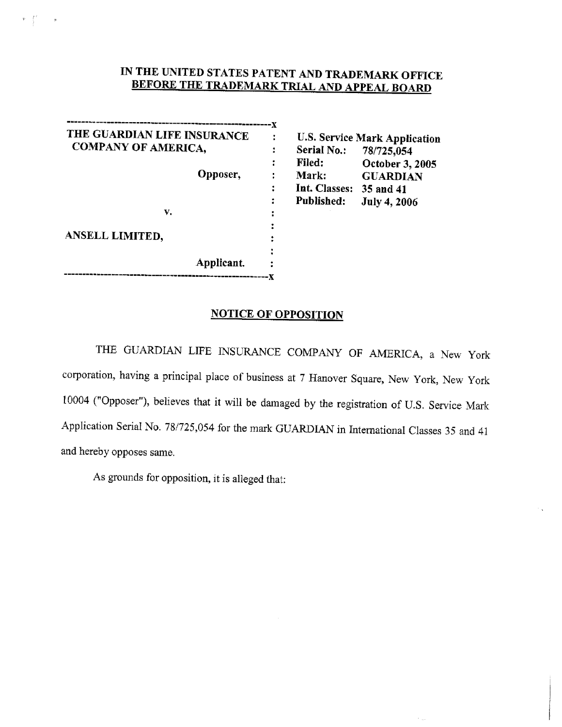## IN THE UNITED STATES PATENT AND TRADEMARK OFFICE **BEFORE THE TRADEMARK TRIAL AND APPEAL BOARD**

| THE GUARDIAN LIFE INSURANCE |  |
|-----------------------------|--|
| <b>COMPANY OF AMERICA,</b>  |  |
|                             |  |
| Opposer,                    |  |
|                             |  |
|                             |  |
| v.                          |  |
|                             |  |
| ANSELL LIMITED,             |  |
|                             |  |
| Applicant.                  |  |
|                             |  |

 $\Psi=\int\limits_{0}^{\infty}e^{-i\omega t}$  and

**U.S. Service Mark Application** Serial No.: 78/725,054 Filed: October 3, 2005 Mark: **GUARDIAN** Int. Classes: 35 and 41 Published: **July 4, 2006** 

 $\epsilon_{\rm max}$ 

### **NOTICE OF OPPOSITION**

THE GUARDIAN LIFE INSURANCE COMPANY OF AMERICA, a New York corporation, having a principal place of business at 7 Hanover Square, New York, New York 10004 ("Opposer"), believes that it will be damaged by the registration of U.S. Service Mark Application Serial No. 78/725,054 for the mark GUARDIAN in International Classes 35 and 41 and hereby opposes same.

As grounds for opposition, it is alleged that: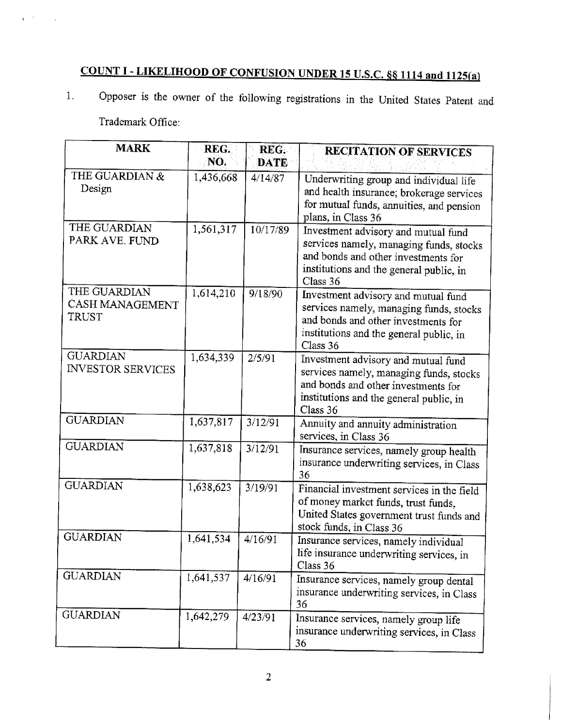# COUNT I - LIKELIHOOD OF CONFUSION UNDER 15 U.S.C. §§ 1114 and 1125(a)

Opposer is the owner of the following registrations in the United States Patent and  $\overline{1}$ .

Trademark Office:

 $\mathbf{r}^{(i+1)}$  ,  $\mathbf{r}^{(i)}$ 

| <b>MARK</b>                                 | REG.<br>NO.            | REG.<br><b>DATE</b> | <b>RECITATION OF SERVICES</b>                                                                                                                                                |
|---------------------------------------------|------------------------|---------------------|------------------------------------------------------------------------------------------------------------------------------------------------------------------------------|
| THE GUARDIAN &<br>Design                    | 1,436,668              | 4/14/87             | Underwriting group and individual life<br>and health insurance; brokerage services<br>for mutual funds, annuities, and pension<br>plans, in Class 36                         |
| THE GUARDIAN<br>PARK AVE. FUND              | 1,561,317              | 10/17/89            | Investment advisory and mutual fund<br>services namely, managing funds, stocks<br>and bonds and other investments for<br>institutions and the general public, in<br>Class 36 |
| THE GUARDIAN<br>CASH MANAGEMENT<br>TRUST    | 1,614,210              | 9/18/90             | Investment advisory and mutual fund<br>services namely, managing funds, stocks<br>and bonds and other investments for<br>institutions and the general public, in<br>Class 36 |
| <b>GUARDIAN</b><br><b>INVESTOR SERVICES</b> | $\overline{1,}634,339$ | 2/5/91              | Investment advisory and mutual fund<br>services namely, managing funds, stocks<br>and bonds and other investments for<br>institutions and the general public, in<br>Class 36 |
| <b>GUARDIAN</b>                             | 1,637,817              | 3/12/91             | Annuity and annuity administration<br>services, in Class 36                                                                                                                  |
| <b>GUARDIAN</b>                             | 1,637,818              | 3/12/91             | Insurance services, namely group health<br>insurance underwriting services, in Class<br>36                                                                                   |
| <b>GUARDIAN</b>                             | 1,638,623              | 3/19/91             | Financial investment services in the field<br>of money market funds, trust funds,<br>United States government trust funds and<br>stock funds, in Class 36                    |
| <b>GUARDIAN</b>                             | 1,641,534              | 4/16/91             | Insurance services, namely individual<br>life insurance underwriting services, in<br>Class 36                                                                                |
| <b>GUARDIAN</b>                             | 1,641,537              | 4/16/91             | Insurance services, namely group dental<br>insurance underwriting services, in Class<br>36                                                                                   |
| <b>GUARDIAN</b>                             | 1,642,279              | 4/23/91             | Insurance services, namely group life<br>insurance underwriting services, in Class<br>36                                                                                     |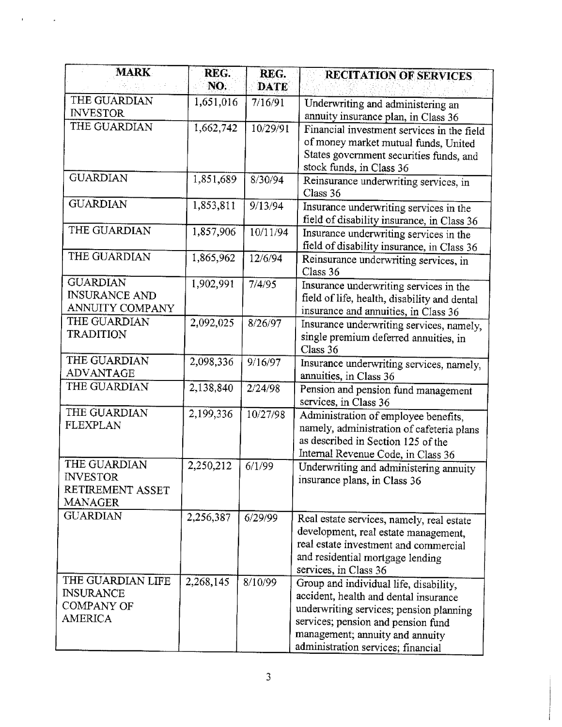| <b>MARK</b>                | REG.      | REG.        | <b>RECITATION OF SERVICES</b>                                                    |
|----------------------------|-----------|-------------|----------------------------------------------------------------------------------|
|                            | NO.       | <b>DATE</b> |                                                                                  |
| THE GUARDIAN               | 1,651,016 | 7/16/91     | Underwriting and administering an                                                |
| <b>INVESTOR</b>            |           |             | annuity insurance plan, in Class 36                                              |
| THE GUARDIAN               | 1,662,742 | 10/29/91    | Financial investment services in the field                                       |
|                            |           |             | of money market mutual funds, United                                             |
|                            |           |             | States government securities funds, and                                          |
|                            |           |             | stock funds, in Class 36                                                         |
| <b>GUARDIAN</b>            | 1,851,689 | 8/30/94     | Reinsurance underwriting services, in                                            |
| <b>GUARDIAN</b>            |           |             | Class 36                                                                         |
|                            | 1,853,811 | 9/13/94     | Insurance underwriting services in the                                           |
| THE GUARDIAN               |           |             | field of disability insurance, in Class 36                                       |
|                            | 1,857,906 | 10/11/94    | Insurance underwriting services in the                                           |
| THE GUARDIAN               |           |             | field of disability insurance, in Class 36                                       |
|                            | 1,865,962 | 12/6/94     | Reinsurance underwriting services, in                                            |
| <b>GUARDIAN</b>            | 1,902,991 | 7/4/95      | Class 36                                                                         |
| <b>INSURANCE AND</b>       |           |             | Insurance underwriting services in the                                           |
| ANNUITY COMPANY            |           |             | field of life, health, disability and dental                                     |
| THE GUARDIAN               | 2,092,025 | 8/26/97     | insurance and annuities, in Class 36<br>Insurance underwriting services, namely, |
| <b>TRADITION</b>           |           |             | single premium deferred annuities, in                                            |
|                            |           |             | Class 36                                                                         |
| THE GUARDIAN               | 2,098,336 | 9/16/97     | Insurance underwriting services, namely,                                         |
| ADVANTAGE                  |           |             | annuities, in Class 36                                                           |
| THE GUARDIAN               | 2,138,840 | 2/24/98     | Pension and pension fund management                                              |
|                            |           |             | services, in Class 36                                                            |
| THE GUARDIAN               | 2,199,336 | 10/27/98    | Administration of employee benefits,                                             |
| <b>FLEXPLAN</b>            |           |             | namely, administration of cafeteria plans                                        |
|                            |           |             | as described in Section 125 of the                                               |
|                            |           |             | Internal Revenue Code, in Class 36                                               |
| THE GUARDIAN               | 2,250,212 | 6/1/99      | Underwriting and administering annuity                                           |
| <b>INVESTOR</b>            |           |             | insurance plans, in Class 36                                                     |
| RETIREMENT ASSET           |           |             |                                                                                  |
| MANAGER<br><b>GUARDIAN</b> |           |             |                                                                                  |
|                            | 2,256,387 | 6/29/99     | Real estate services, namely, real estate                                        |
|                            |           |             | development, real estate management,                                             |
|                            |           |             | real estate investment and commercial                                            |
|                            |           |             | and residential mortgage lending                                                 |
| THE GUARDIAN LIFE          | 2,268,145 | 8/10/99     | services, in Class 36                                                            |
| <b>INSURANCE</b>           |           |             | Group and individual life, disability,                                           |
| COMPANY OF                 |           |             | accident, health and dental insurance<br>underwriting services; pension planning |
| <b>AMERICA</b>             |           |             | services; pension and pension fund                                               |
|                            |           |             | management; annuity and annuity                                                  |
|                            |           |             | administration services; financial                                               |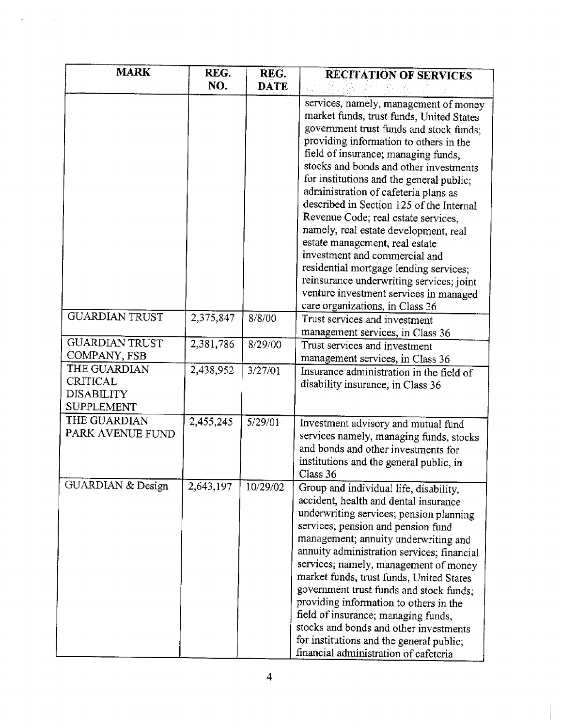| <b>MARK</b>                                                               | REG.<br>NO. | REG.<br><b>DATE</b> | <b>RECITATION OF SERVICES</b>                                                                                                                                                                                                                                                                                                                                                                                                                                                                                                                                                                                                                                              |
|---------------------------------------------------------------------------|-------------|---------------------|----------------------------------------------------------------------------------------------------------------------------------------------------------------------------------------------------------------------------------------------------------------------------------------------------------------------------------------------------------------------------------------------------------------------------------------------------------------------------------------------------------------------------------------------------------------------------------------------------------------------------------------------------------------------------|
|                                                                           |             |                     | services, namely, management of money<br>market funds, trust funds, United States<br>government trust funds and stock funds;<br>providing information to others in the<br>field of insurance; managing funds,<br>stocks and bonds and other investments<br>for institutions and the general public;<br>administration of cafeteria plans as<br>described in Section 125 of the Internal<br>Revenue Code; real estate services,<br>namely, real estate development, real<br>estate management, real estate<br>investment and commercial and<br>residential mortgage lending services;<br>reinsurance underwriting services; joint<br>venture investment services in managed |
| <b>GUARDIAN TRUST</b>                                                     | 2,375,847   | 8/8/00              | care organizations, in Class 36<br>Trust services and investment                                                                                                                                                                                                                                                                                                                                                                                                                                                                                                                                                                                                           |
| <b>GUARDIAN TRUST</b><br>COMPANY, FSB                                     | 2,381,786   | 8/29/00             | management services, in Class 36<br>Trust services and investment<br>management services, in Class 36                                                                                                                                                                                                                                                                                                                                                                                                                                                                                                                                                                      |
| THE GUARDIAN<br><b>CRITICAL</b><br><b>DISABILITY</b><br><b>SUPPLEMENT</b> | 2,438,952   | 3/27/01             | Insurance administration in the field of<br>disability insurance, in Class 36                                                                                                                                                                                                                                                                                                                                                                                                                                                                                                                                                                                              |
| THE GUARDIAN<br>PARK AVENUE FUND                                          | 2,455,245   | 5/29/01             | Investment advisory and mutual fund<br>services namely, managing funds, stocks<br>and bonds and other investments for<br>institutions and the general public, in<br>Class 36                                                                                                                                                                                                                                                                                                                                                                                                                                                                                               |
| GUARDIAN & Design                                                         | 2,643,197   | 10/29/02            | Group and individual life, disability,<br>accident, health and dental insurance<br>underwriting services; pension planning<br>services; pension and pension fund<br>management; annuity underwriting and<br>annuity administration services; financial<br>services; namely, management of money<br>market funds, trust funds, United States<br>government trust funds and stock funds:<br>providing information to others in the<br>field of insurance; managing funds,<br>stocks and bonds and other investments<br>for institutions and the general public;<br>financial administration of cafeteria                                                                     |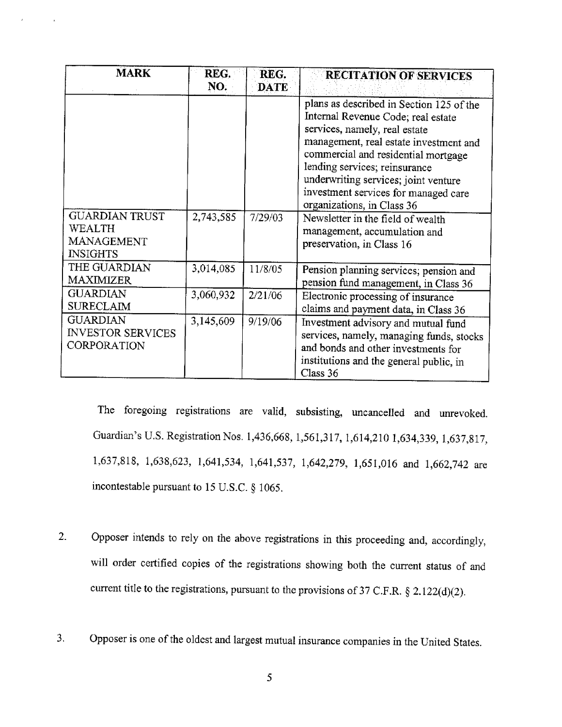| <b>MARK</b>                                                             | REG.      | REG.        | <b>RECITATION OF SERVICES</b>                                                                                                                                                                                                                                                                                                                   |
|-------------------------------------------------------------------------|-----------|-------------|-------------------------------------------------------------------------------------------------------------------------------------------------------------------------------------------------------------------------------------------------------------------------------------------------------------------------------------------------|
|                                                                         | NO.       | <b>DATE</b> |                                                                                                                                                                                                                                                                                                                                                 |
|                                                                         |           |             | plans as described in Section 125 of the<br>Internal Revenue Code; real estate<br>services, namely, real estate<br>management, real estate investment and<br>commercial and residential mortgage<br>lending services; reinsurance<br>underwriting services; joint venture<br>investment services for managed care<br>organizations, in Class 36 |
| <b>GUARDIAN TRUST</b><br>WEALTH<br><b>MANAGEMENT</b><br><b>INSIGHTS</b> | 2,743,585 | 7/29/03     | Newsletter in the field of wealth<br>management, accumulation and<br>preservation, in Class 16                                                                                                                                                                                                                                                  |
| THE GUARDIAN<br>MAXIMIZER                                               | 3,014,085 | 11/8/05     | Pension planning services; pension and<br>pension fund management, in Class 36                                                                                                                                                                                                                                                                  |
| <b>GUARDIAN</b><br><b>SURECLAIM</b>                                     | 3,060,932 | 2/21/06     | Electronic processing of insurance<br>claims and payment data, in Class 36                                                                                                                                                                                                                                                                      |
| <b>GUARDIAN</b><br><b>INVESTOR SERVICES</b><br>CORPORATION              | 3,145,609 | 9/19/06     | Investment advisory and mutual fund<br>services, namely, managing funds, stocks<br>and bonds and other investments for<br>institutions and the general public, in<br>Class 36                                                                                                                                                                   |

The foregoing registrations are valid, subsisting, uncancelled and unrevoked. Guardian's U.S. Registration Nos. 1,436,668, 1,561,317, 1,614,210 1,634,339, 1,637,817, 1,637,818, 1,638,623, 1,641,534, 1,641,537, 1,642,279, 1,651,016 and 1,662,742 are incontestable pursuant to 15 U.S.C. § 1065.

- Opposer intends to rely on the above registrations in this proceeding and, accordingly,  $2.$ will order certified copies of the registrations showing both the current status of and current title to the registrations, pursuant to the provisions of 37 C.F.R.  $\S$  2.122(d)(2).
- Opposer is one of the oldest and largest mutual insurance companies in the United States.  $3<sub>1</sub>$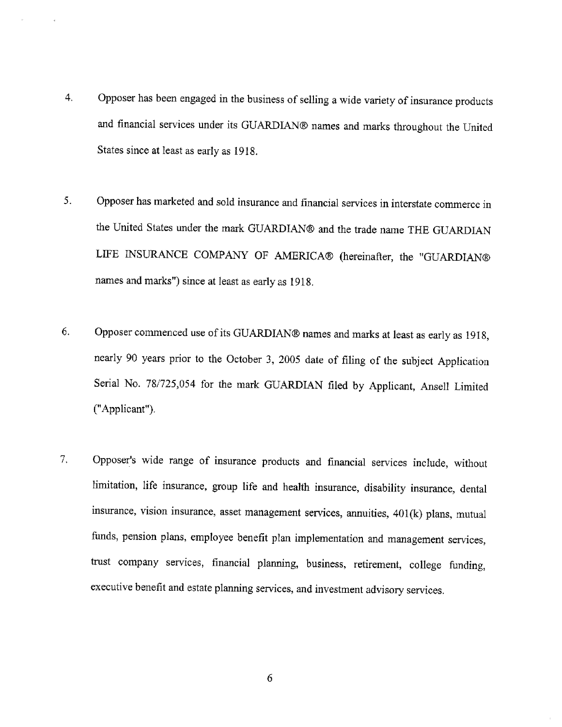- Opposer has been engaged in the business of selling a wide variety of insurance products  $4<sub>1</sub>$ and financial services under its GUARDIAN® names and marks throughout the United States since at least as early as 1918.
- 5. Opposer has marketed and sold insurance and financial services in interstate commerce in the United States under the mark GUARDIAN® and the trade name THE GUARDIAN LIFE INSURANCE COMPANY OF AMERICA® (hereinafter, the "GUARDIAN® names and marks") since at least as early as 1918.
- Opposer commenced use of its GUARDIAN® names and marks at least as early as 1918, 6. nearly 90 years prior to the October 3, 2005 date of filing of the subject Application Serial No. 78/725,054 for the mark GUARDIAN filed by Applicant, Ansell Limited ("Applicant").
- 7. Opposer's wide range of insurance products and financial services include, without limitation, life insurance, group life and health insurance, disability insurance, dental insurance, vision insurance, asset management services, annuities, 401(k) plans, mutual funds, pension plans, employee benefit plan implementation and management services, trust company services, financial planning, business, retirement, college funding, executive benefit and estate planning services, and investment advisory services.

6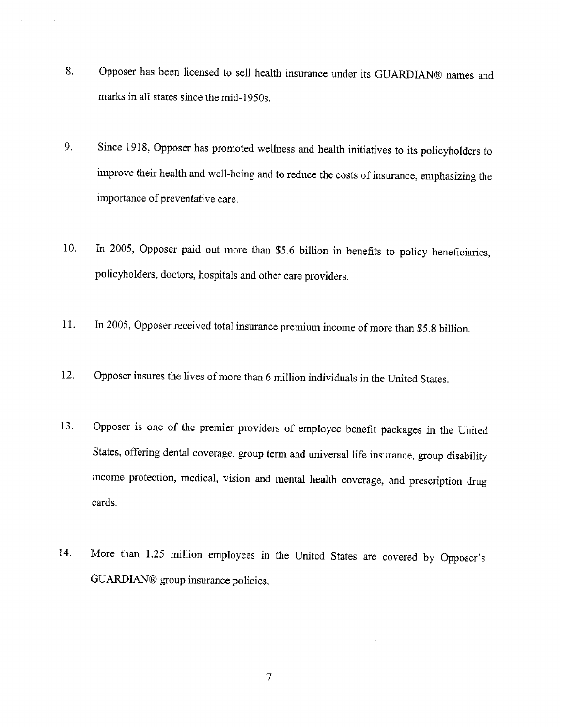- Opposer has been licensed to sell health insurance under its GUARDIAN® names and 8. marks in all states since the mid-1950s.
- Since 1918, Opposer has promoted wellness and health initiatives to its policyholders to 9. improve their health and well-being and to reduce the costs of insurance, emphasizing the importance of preventative care.
- In 2005, Opposer paid out more than \$5.6 billion in benefits to policy beneficiaries, 10. policyholders, doctors, hospitals and other care providers.
- In 2005, Opposer received total insurance premium income of more than \$5.8 billion. 11.
- Opposer insures the lives of more than 6 million individuals in the United States. 12.
- Opposer is one of the premier providers of employee benefit packages in the United  $13.$ States, offering dental coverage, group term and universal life insurance, group disability income protection, medical, vision and mental health coverage, and prescription drug cards.
- More than 1.25 million employees in the United States are covered by Opposer's 14. GUARDIAN® group insurance policies.

 $\overline{\mathcal{I}}$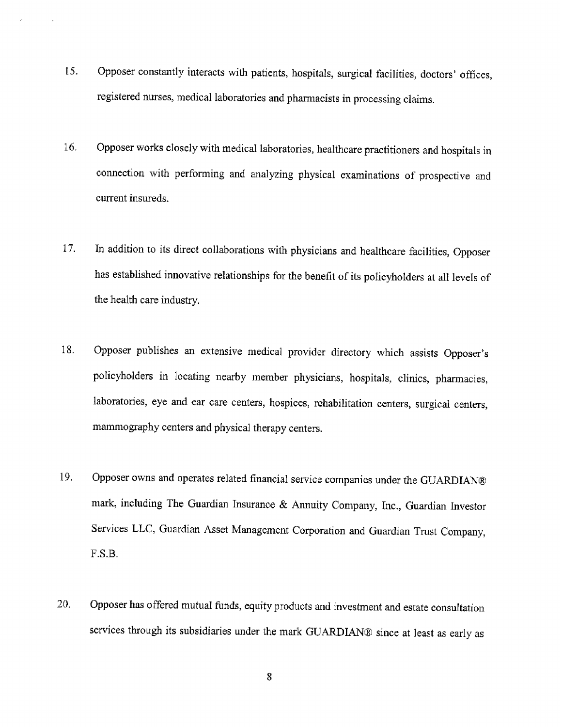- Opposer constantly interacts with patients, hospitals, surgical facilities, doctors' offices, 15. registered nurses, medical laboratories and pharmacists in processing claims.
- 16. Opposer works closely with medical laboratories, healthcare practitioners and hospitals in connection with performing and analyzing physical examinations of prospective and current insureds.
- In addition to its direct collaborations with physicians and healthcare facilities, Opposer 17. has established innovative relationships for the benefit of its policyholders at all levels of the health care industry.
- 18. Opposer publishes an extensive medical provider directory which assists Opposer's policyholders in locating nearby member physicians, hospitals, clinics, pharmacies, laboratories, eye and ear care centers, hospices, rehabilitation centers, surgical centers, mammography centers and physical therapy centers.
- 19. Opposer owns and operates related financial service companies under the GUARDIAN® mark, including The Guardian Insurance & Annuity Company, Inc., Guardian Investor Services LLC, Guardian Asset Management Corporation and Guardian Trust Company,  $F.S.B.$
- Opposer has offered mutual funds, equity products and investment and estate consultation 20. services through its subsidiaries under the mark GUARDIAN® since at least as early as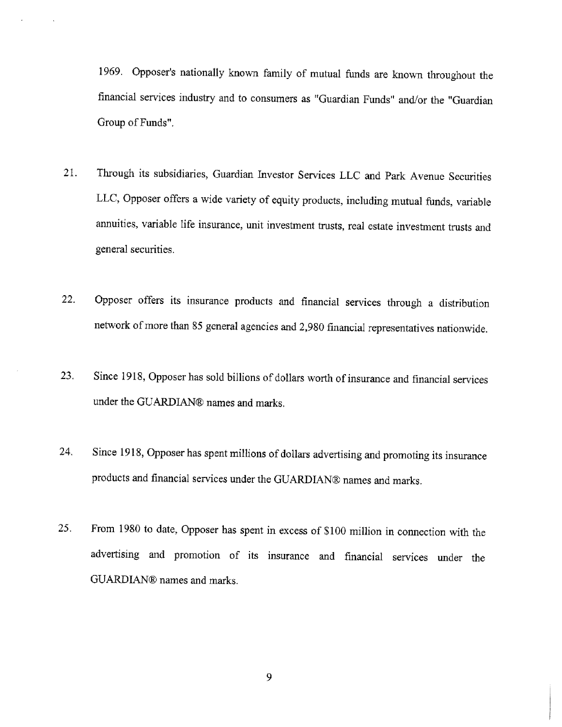1969. Opposer's nationally known family of mutual funds are known throughout the financial services industry and to consumers as "Guardian Funds" and/or the "Guardian Group of Funds".

- Through its subsidiaries, Guardian Investor Services LLC and Park Avenue Securities  $21.$ LLC, Opposer offers a wide variety of equity products, including mutual funds, variable annuities, variable life insurance, unit investment trusts, real estate investment trusts and general securities.
- Opposer offers its insurance products and financial services through a distribution  $22.$ network of more than 85 general agencies and 2,980 financial representatives nationwide.
- Since 1918, Opposer has sold billions of dollars worth of insurance and financial services 23. under the GUARDIAN® names and marks.
- Since 1918, Opposer has spent millions of dollars advertising and promoting its insurance 24. products and financial services under the GUARDIAN® names and marks.
- From 1980 to date, Opposer has spent in excess of \$100 million in connection with the  $25.$ advertising and promotion of its insurance and financial services under the GUARDIAN® names and marks.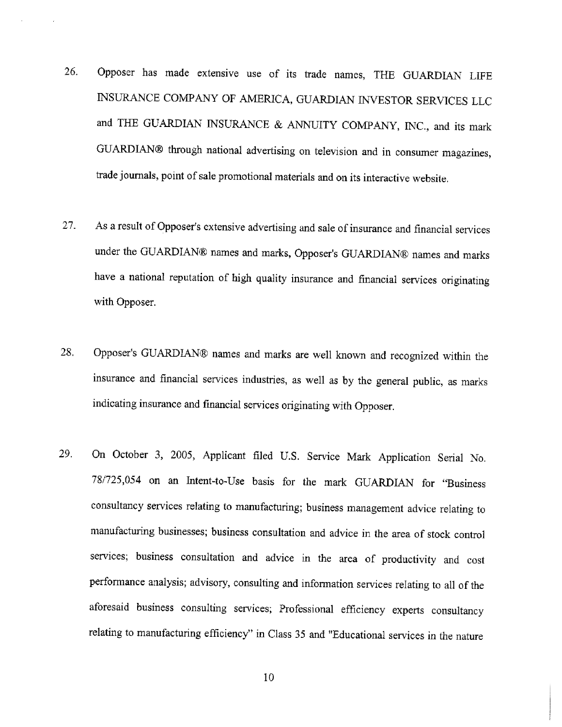- Opposer has made extensive use of its trade names, THE GUARDIAN LIFE 26. INSURANCE COMPANY OF AMERICA, GUARDIAN INVESTOR SERVICES LLC and THE GUARDIAN INSURANCE & ANNUITY COMPANY, INC., and its mark GUARDIAN® through national advertising on television and in consumer magazines, trade journals, point of sale promotional materials and on its interactive website.
- As a result of Opposer's extensive advertising and sale of insurance and financial services 27. under the GUARDIAN® names and marks, Opposer's GUARDIAN® names and marks have a national reputation of high quality insurance and financial services originating with Opposer.
- Opposer's GUARDIAN® names and marks are well known and recognized within the 28. insurance and financial services industries, as well as by the general public, as marks indicating insurance and financial services originating with Opposer.
- On October 3, 2005, Applicant filed U.S. Service Mark Application Serial No. 29. 78/725,054 on an Intent-to-Use basis for the mark GUARDIAN for "Business consultancy services relating to manufacturing; business management advice relating to manufacturing businesses; business consultation and advice in the area of stock control services; business consultation and advice in the area of productivity and cost performance analysis; advisory, consulting and information services relating to all of the aforesaid business consulting services; Professional efficiency experts consultancy relating to manufacturing efficiency" in Class 35 and "Educational services in the nature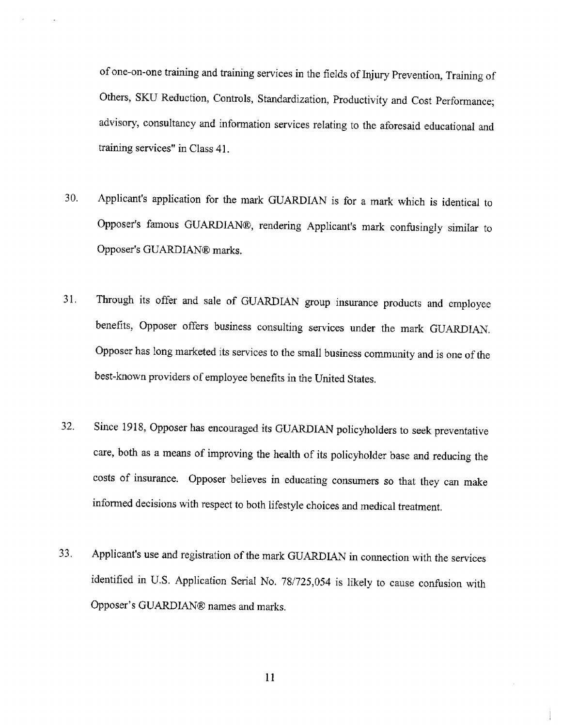of one-on-one training and training services in the fields of Injury Prevention, Training of Others, SKU Reduction, Controls, Standardization, Productivity and Cost Performance; advisory, consultancy and information services relating to the aforesaid educational and training services" in Class 41.

- 30. Applicant's application for the mark GUARDIAN is for a mark which is identical to Opposer's famous GUARDIAN®, rendering Applicant's mark confusingly similar to Opposer's GUARDIAN® marks.
- Through its offer and sale of GUARDIAN group insurance products and employee  $31.$ benefits, Opposer offers business consulting services under the mark GUARDIAN. Opposer has long marketed its services to the small business community and is one of the best-known providers of employee benefits in the United States.
- Since 1918, Opposer has encouraged its GUARDIAN policyholders to seek preventative 32. care, both as a means of improving the health of its policyholder base and reducing the costs of insurance. Opposer believes in educating consumers so that they can make informed decisions with respect to both lifestyle choices and medical treatment.
- Applicant's use and registration of the mark GUARDIAN in connection with the services 33. identified in U.S. Application Serial No. 78/725,054 is likely to cause confusion with Opposer's GUARDIAN® names and marks.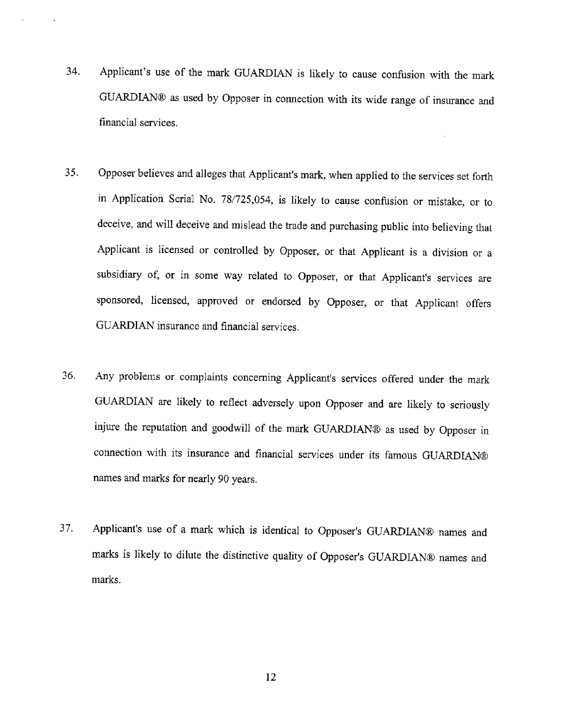- Applicant's use of the mark GUARDIAN is likely to cause confusion with the mark 34. GUARDIAN® as used by Opposer in connection with its wide range of insurance and financial services.
- Opposer believes and alleges that Applicant's mark, when applied to the services set forth 35. in Application Serial No. 78/725,054, is likely to cause confusion or mistake, or to deceive, and will deceive and mislead the trade and purchasing public into believing that Applicant is licensed or controlled by Opposer, or that Applicant is a division or a subsidiary of, or in some way related to Opposer, or that Applicant's services are sponsored, licensed, approved or endorsed by Opposer, or that Applicant offers GUARDIAN insurance and financial services.
- Any problems or complaints concerning Applicant's services offered under the mark 36. GUARDIAN are likely to reflect adversely upon Opposer and are likely to seriously injure the reputation and goodwill of the mark GUARDIAN® as used by Opposer in connection with its insurance and financial services under its famous GUARDIAN® names and marks for nearly 90 years.
- Applicant's use of a mark which is identical to Opposer's GUARDIAN® names and 37. marks is likely to dilute the distinctive quality of Opposer's GUARDIAN® names and marks.

12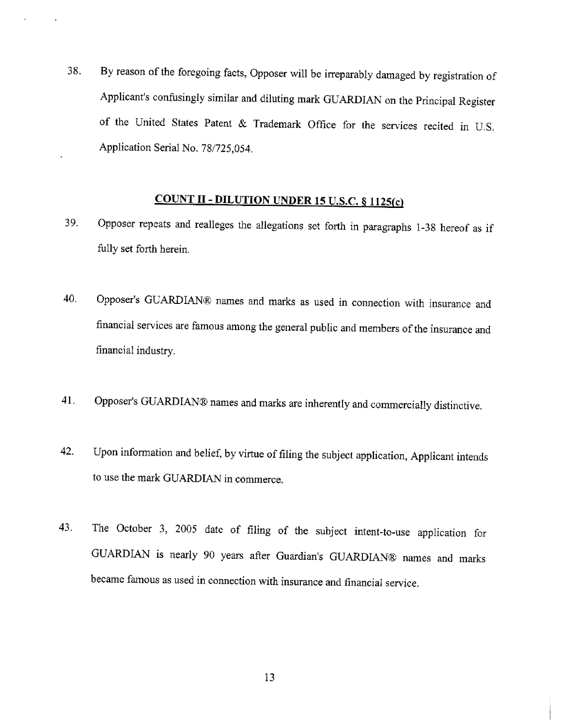By reason of the foregoing facts, Opposer will be irreparably damaged by registration of 38. Applicant's confusingly similar and diluting mark GUARDIAN on the Principal Register of the United States Patent & Trademark Office for the services recited in U.S. Application Serial No. 78/725,054.

## **COUNT II - DILUTION UNDER 15 U.S.C. § 1125(c)**

- Opposer repeats and realleges the allegations set forth in paragraphs 1-38 hereof as if 39. fully set forth herein.
- 40. Opposer's GUARDIAN® names and marks as used in connection with insurance and financial services are famous among the general public and members of the insurance and financial industry.
- Opposer's GUARDIAN® names and marks are inherently and commercially distinctive. 41.
- Upon information and belief, by virtue of filing the subject application, Applicant intends 42. to use the mark GUARDIAN in commerce.
- The October 3, 2005 date of filing of the subject intent-to-use application for 43. GUARDIAN is nearly 90 years after Guardian's GUARDIAN® names and marks became famous as used in connection with insurance and financial service.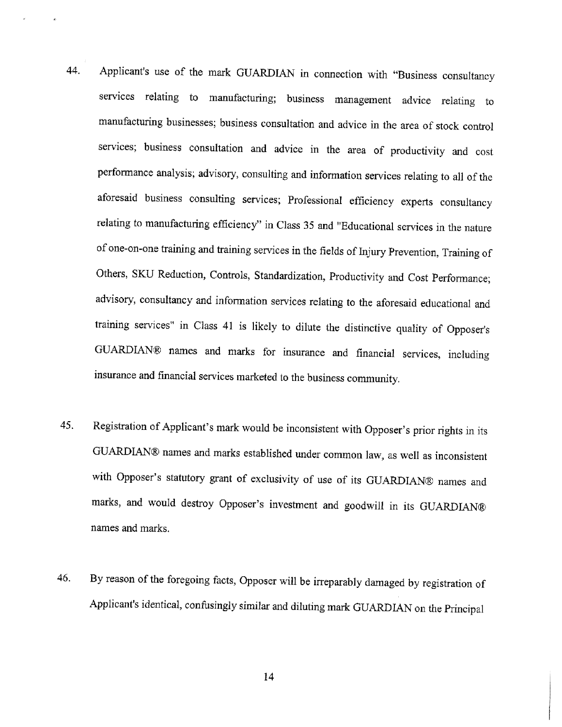- Applicant's use of the mark GUARDIAN in connection with "Business consultancy 44. services relating to manufacturing; business management advice relating to manufacturing businesses; business consultation and advice in the area of stock control services; business consultation and advice in the area of productivity and cost performance analysis; advisory, consulting and information services relating to all of the aforesaid business consulting services; Professional efficiency experts consultancy relating to manufacturing efficiency" in Class 35 and "Educational services in the nature of one-on-one training and training services in the fields of Injury Prevention, Training of Others, SKU Reduction, Controls, Standardization, Productivity and Cost Performance; advisory, consultancy and information services relating to the aforesaid educational and training services" in Class 41 is likely to dilute the distinctive quality of Opposer's GUARDIAN® names and marks for insurance and financial services, including insurance and financial services marketed to the business community.
- Registration of Applicant's mark would be inconsistent with Opposer's prior rights in its 45. GUARDIAN® names and marks established under common law, as well as inconsistent with Opposer's statutory grant of exclusivity of use of its GUARDIAN® names and marks, and would destroy Opposer's investment and goodwill in its GUARDIAN® names and marks.
- By reason of the foregoing facts, Opposer will be irreparably damaged by registration of 46. Applicant's identical, confusingly similar and diluting mark GUARDIAN on the Principal

14